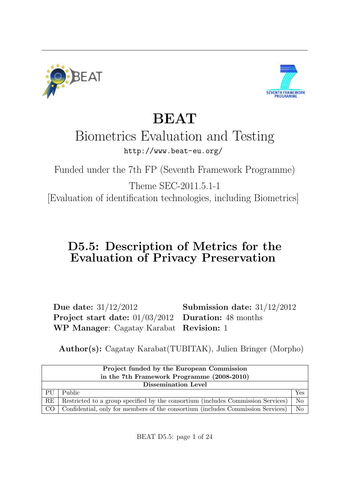



# BEAT

# Biometrics Evaluation and Testing http://www.beat-eu.org/

Funded under the 7th FP (Seventh Framework Programme) Theme SEC-2011.5.1-1 [Evaluation of identification technologies, including Biometrics]

# D5.5: Description of Metrics for the Evaluation of Privacy Preservation

**Due date:** 31/12/2012 **Submission date:** 31/12/2012 Project start date: 01/03/2012 Duration: 48 months WP Manager: Cagatay Karabat Revision: 1

Author(s): Cagatay Karabat(TUBITAK), Julien Bringer (Morpho)

| Project funded by the European Commission  |                                                                                  |     |  |  |  |
|--------------------------------------------|----------------------------------------------------------------------------------|-----|--|--|--|
| in the 7th Framework Programme (2008-2010) |                                                                                  |     |  |  |  |
| <b>Dissemination Level</b>                 |                                                                                  |     |  |  |  |
| PU                                         | Public                                                                           | Yes |  |  |  |
| RE                                         | Restricted to a group specified by the consortium (includes Commission Services) | No  |  |  |  |
| CO                                         | Confidential, only for members of the consortium (includes Commission Services)  | No  |  |  |  |

BEAT D5.5: page 1 of 24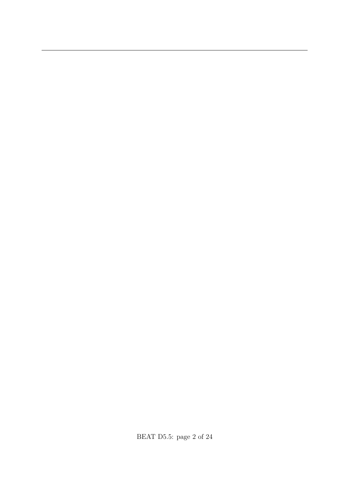BEAT D5.5: page 2 of 24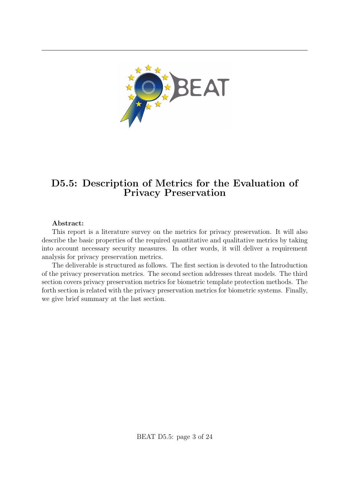

## D5.5: Description of Metrics for the Evaluation of Privacy Preservation

#### Abstract:

This report is a literature survey on the metrics for privacy preservation. It will also describe the basic properties of the required quantitative and qualitative metrics by taking into account necessary security measures. In other words, it will deliver a requirement analysis for privacy preservation metrics.

The deliverable is structured as follows. The first section is devoted to the Introduction of the privacy preservation metrics. The second section addresses threat models. The third section covers privacy preservation metrics for biometric template protection methods. The forth section is related with the privacy preservation metrics for biometric systems. Finally, we give brief summary at the last section.

BEAT D5.5: page 3 of 24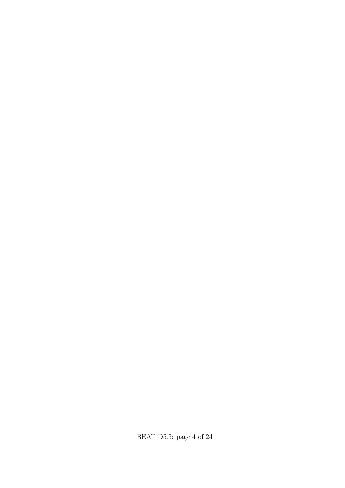BEAT D5.5: page 4 of 24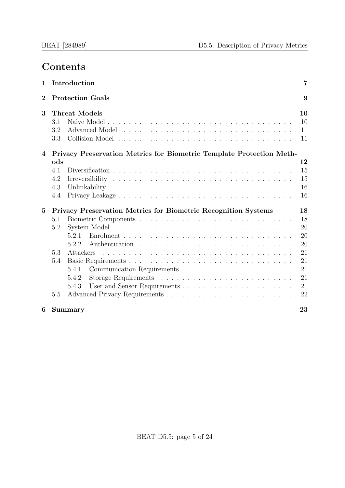# Contents

| $\mathbf{1}$   |                      | Introduction                                                         | 7        |  |  |  |  |  |
|----------------|----------------------|----------------------------------------------------------------------|----------|--|--|--|--|--|
| $\overline{2}$ |                      | <b>Protection Goals</b>                                              | 9        |  |  |  |  |  |
| 3              | <b>Threat Models</b> |                                                                      |          |  |  |  |  |  |
|                | 3.1                  |                                                                      | 10       |  |  |  |  |  |
|                | 3.2                  |                                                                      | 11       |  |  |  |  |  |
|                | 3.3                  |                                                                      | 11       |  |  |  |  |  |
| 4              |                      | Privacy Preservation Metrics for Biometric Template Protection Meth- |          |  |  |  |  |  |
|                | ods                  |                                                                      | 12       |  |  |  |  |  |
|                | 4.1                  |                                                                      | 15       |  |  |  |  |  |
|                | 4.2                  |                                                                      | 15       |  |  |  |  |  |
|                | 4.3                  |                                                                      | 16       |  |  |  |  |  |
|                | 4.4                  |                                                                      | 16       |  |  |  |  |  |
| $\bf{5}$       |                      | Privacy Preservation Metrics for Biometric Recognition Systems       |          |  |  |  |  |  |
|                | 5.1                  |                                                                      | 18<br>18 |  |  |  |  |  |
|                | 5.2                  |                                                                      | 20       |  |  |  |  |  |
|                |                      | 5.2.1                                                                | 20       |  |  |  |  |  |
|                |                      | 5.2.2                                                                | 20       |  |  |  |  |  |
|                | 5.3                  | Attackers                                                            | 21       |  |  |  |  |  |
|                | 5.4                  |                                                                      | 21       |  |  |  |  |  |
|                |                      | 5.4.1                                                                | 21       |  |  |  |  |  |
|                |                      | 5.4.2                                                                | 21       |  |  |  |  |  |
|                |                      | 5.4.3                                                                | 21       |  |  |  |  |  |
|                | 5.5                  |                                                                      | 22       |  |  |  |  |  |
|                |                      |                                                                      |          |  |  |  |  |  |
| 6              |                      | Summary                                                              | 23       |  |  |  |  |  |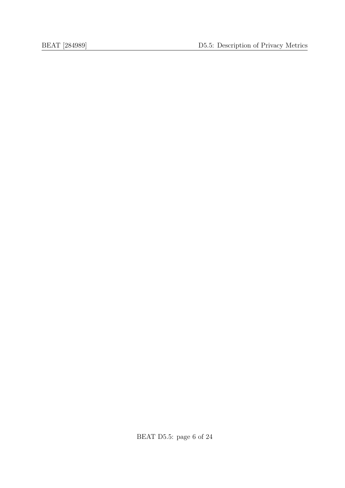BEAT D5.5: page 6 of 24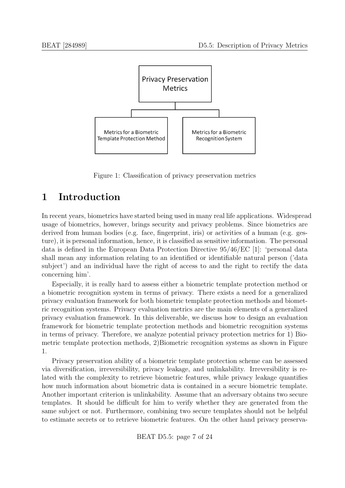

Figure 1: Classification of privacy preservation metrics

## 1 Introduction

In recent years, biometrics have started being used in many real life applications. Widespread usage of biometrics, however, brings security and privacy problems. Since biometrics are derived from human bodies (e.g. face, fingerprint, iris) or activities of a human (e.g. gesture), it is personal information, hence, it is classified as sensitive information. The personal data is defined in the European Data Protection Directive 95/46/EC [1]: 'personal data shall mean any information relating to an identified or identifiable natural person ('data subject') and an individual have the right of access to and the right to rectify the data concerning him'.

Especially, it is really hard to assess either a biometric template protection method or a biometric recognition system in terms of privacy. There exists a need for a generalized privacy evaluation framework for both biometric template protection methods and biometric recognition systems. Privacy evaluation metrics are the main elements of a generalized privacy evaluation framework. In this deliverable, we discuss how to design an evaluation framework for biometric template protection methods and biometric recognition systems in terms of privacy. Therefore, we analyze potential privacy protection metrics for 1) Biometric template protection methods, 2)Biometric recognition systems as shown in Figure 1.

Privacy preservation ability of a biometric template protection scheme can be assessed via diversification, irreversibility, privacy leakage, and unlinkability. Irreversibility is related with the complexity to retrieve biometric features, while privacy leakage quantifies how much information about biometric data is contained in a secure biometric template. Another important criterion is unlinkability. Assume that an adversary obtains two secure templates. It should be difficult for him to verify whether they are generated from the same subject or not. Furthermore, combining two secure templates should not be helpful to estimate secrets or to retrieve biometric features. On the other hand privacy preserva-

BEAT D5.5: page 7 of 24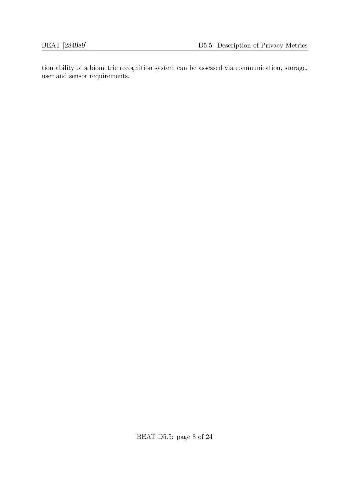tion ability of a biometric recognition system can be assessed via communication, storage, user and sensor requirements.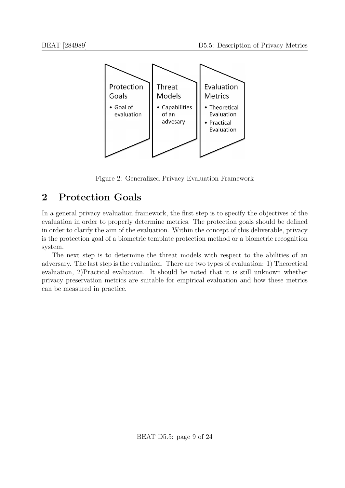

Figure 2: Generalized Privacy Evaluation Framework

# 2 Protection Goals

In a general privacy evaluation framework, the first step is to specify the objectives of the evaluation in order to properly determine metrics. The protection goals should be defined in order to clarify the aim of the evaluation. Within the concept of this deliverable, privacy is the protection goal of a biometric template protection method or a biometric recognition system.

The next step is to determine the threat models with respect to the abilities of an adversary. The last step is the evaluation. There are two types of evaluation: 1) Theoretical evaluation, 2)Practical evaluation. It should be noted that it is still unknown whether privacy preservation metrics are suitable for empirical evaluation and how these metrics can be measured in practice.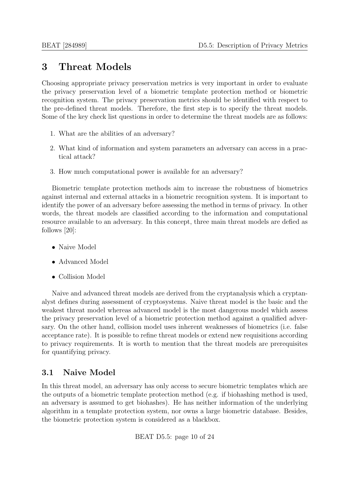## 3 Threat Models

Choosing appropriate privacy preservation metrics is very important in order to evaluate the privacy preservation level of a biometric template protection method or biometric recognition system. The privacy preservation metrics should be identified with respect to the pre-defined threat models. Therefore, the first step is to specify the threat models. Some of the key check list questions in order to determine the threat models are as follows:

- 1. What are the abilities of an adversary?
- 2. What kind of information and system parameters an adversary can access in a practical attack?
- 3. How much computational power is available for an adversary?

Biometric template protection methods aim to increase the robustness of biometrics against internal and external attacks in a biometric recognition system. It is important to identify the power of an adversary before assessing the method in terms of privacy. In other words, the threat models are classified according to the information and computational resource available to an adversary. In this concept, three main threat models are defied as follows [20]:

- Naive Model
- Advanced Model
- Collision Model

Naive and advanced threat models are derived from the cryptanalysis which a cryptanalyst defines during assessment of cryptosystems. Naive threat model is the basic and the weakest threat model whereas advanced model is the most dangerous model which assess the privacy preservation level of a biometric protection method against a qualified adversary. On the other hand, collision model uses inherent weaknesses of biometrics (i.e. false acceptance rate). It is possible to refine threat models or extend new requisitions according to privacy requirements. It is worth to mention that the threat models are prerequisites for quantifying privacy.

## 3.1 Naive Model

In this threat model, an adversary has only access to secure biometric templates which are the outputs of a biometric template protection method (e.g. if biohashing method is used, an adversary is assumed to get biohashes). He has neither information of the underlying algorithm in a template protection system, nor owns a large biometric database. Besides, the biometric protection system is considered as a blackbox.

BEAT D5.5: page 10 of 24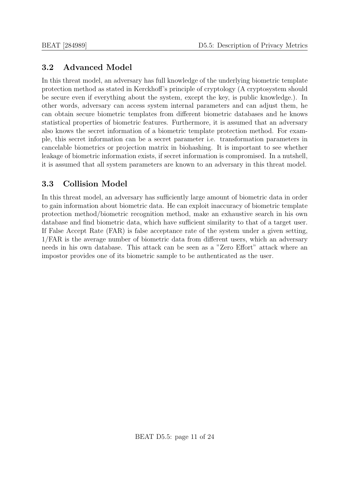## 3.2 Advanced Model

In this threat model, an adversary has full knowledge of the underlying biometric template protection method as stated in Kerckhoff's principle of cryptology (A cryptosystem should be secure even if everything about the system, except the key, is public knowledge.). In other words, adversary can access system internal parameters and can adjust them, he can obtain secure biometric templates from different biometric databases and he knows statistical properties of biometric features. Furthermore, it is assumed that an adversary also knows the secret information of a biometric template protection method. For example, this secret information can be a secret parameter i.e. transformation parameters in cancelable biometrics or projection matrix in biohashing. It is important to see whether leakage of biometric information exists, if secret information is compromised. In a nutshell, it is assumed that all system parameters are known to an adversary in this threat model.

## 3.3 Collision Model

In this threat model, an adversary has sufficiently large amount of biometric data in order to gain information about biometric data. He can exploit inaccuracy of biometric template protection method/biometric recognition method, make an exhaustive search in his own database and find biometric data, which have sufficient similarity to that of a target user. If False Accept Rate (FAR) is false acceptance rate of the system under a given setting, 1/FAR is the average number of biometric data from different users, which an adversary needs in his own database. This attack can be seen as a "Zero Effort" attack where an impostor provides one of its biometric sample to be authenticated as the user.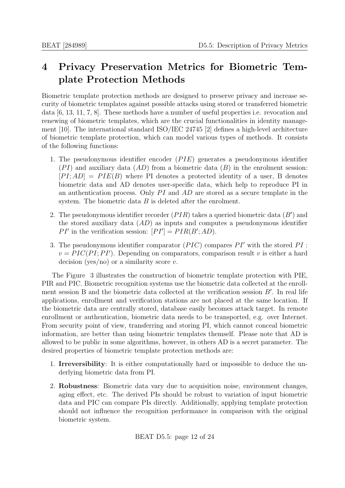# 4 Privacy Preservation Metrics for Biometric Template Protection Methods

Biometric template protection methods are designed to preserve privacy and increase security of biometric templates against possible attacks using stored or transferred biometric data [6, 13, 11, 7, 8]. These methods have a number of useful properties i.e. revocation and renewing of biometric templates, which are the crucial functionalities in identity management [10]. The international standard ISO/IEC 24745 [2] defines a high-level architecture of biometric template protection, which can model various types of methods. It consists of the following functions:

- 1. The pseudonymous identifier encoder  $(PIE)$  generates a pseudonymous identifier  $(PI)$  and auxiliary data  $(AD)$  from a biometric data  $(B)$  in the enrolment session:  $[PI; AD] = PIE(B)$  where PI denotes a protected identity of a user, B denotes biometric data and AD denotes user-specific data, which help to reproduce PI in an authentication process. Only  $PI$  and  $AD$  are stored as a secure template in the system. The biometric data B is deleted after the enrolment.
- 2. The pseudonymous identifier recorder  $(PIR)$  takes a queried biometric data  $(B')$  and the stored auxiliary data  $(AD)$  as inputs and computes a pseudonymous identifier  $PI'$  in the verification session:  $[PI'] = PIR(B';AD)$ .
- 3. The pseudonymous identifier comparator  $(PIC)$  compares  $PI'$  with the stored  $PI$ :  $v = PIC(PI; PI')$ . Depending on comparators, comparison result v is either a hard decision (yes/no) or a similarity score  $v$ .

The Figure 3 illustrates the construction of biometric template protection with PIE, PIR and PIC. Biometric recognition systems use the biometric data collected at the enrollment session B and the biometric data collected at the verification session  $B'$ . In real life applications, enrollment and verification stations are not placed at the same location. If the biometric data are centrally stored, database easily becomes attack target. In remote enrollment or authentication, biometric data needs to be transported, e.g. over Internet. From security point of view, transferring and storing PI, which cannot conceal biometric information, are better than using biometric templates themself. Please note that AD is allowed to be public in some algorithms, however, in others AD is a secret parameter. The desired properties of biometric template protection methods are:

- 1. Irreversibility: It is either computationally hard or impossible to deduce the underlying biometric data from PI.
- 2. Robustness: Biometric data vary due to acquisition noise, environment changes, aging effect, etc. The derived PIs should be robust to variation of input biometric data and PIC can compare PIs directly. Additionally, applying template protection should not influence the recognition performance in comparison with the original biometric system.

BEAT D5.5: page 12 of 24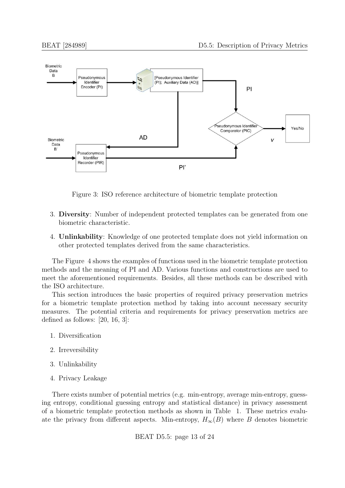

Figure 3: ISO reference architecture of biometric template protection

- 3. Diversity: Number of independent protected templates can be generated from one biometric characteristic.
- 4. Unlinkability: Knowledge of one protected template does not yield information on other protected templates derived from the same characteristics.

The Figure 4 shows the examples of functions used in the biometric template protection methods and the meaning of PI and AD. Various functions and constructions are used to meet the aforementioned requirements. Besides, all these methods can be described with the ISO architecture.

This section introduces the basic properties of required privacy preservation metrics for a biometric template protection method by taking into account necessary security measures. The potential criteria and requirements for privacy preservation metrics are defined as follows: [20, 16, 3]:

- 1. Diversification
- 2. Irreversibility
- 3. Unlinkability
- 4. Privacy Leakage

There exists number of potential metrics (e.g. min-entropy, average min-entropy, guessing entropy, conditional guessing entropy and statistical distance) in privacy assessment of a biometric template protection methods as shown in Table 1. These metrics evaluate the privacy from different aspects. Min-entropy,  $H_{\infty}(B)$  where B denotes biometric

BEAT D5.5: page 13 of 24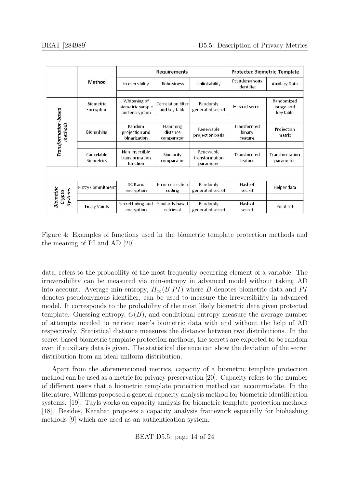|                                 |                                 | Requirements                                       |                                            | <b>Protected Biometric Template</b>      |                                         |                                      |
|---------------------------------|---------------------------------|----------------------------------------------------|--------------------------------------------|------------------------------------------|-----------------------------------------|--------------------------------------|
|                                 | Method                          | Irreversibility                                    | <b>Robustness</b>                          | Unlinkability                            | Pseudonymous<br>Identifier              | <b>Auxilary Data</b>                 |
|                                 | <b>Biometric</b><br>Encryption  | Whitening of<br>biometric sample<br>and encryption | <b>Correlation filter</b><br>and key table | Randomly<br>generated secret             | Hash of secret                          | Randomized<br>image and<br>key table |
| Transformation-based<br>methods | <b>Biohashing</b>               | Random<br>projection and<br>binarization           | <b>Hamming</b><br>distance<br>comparator   | Renewable<br>projection basis            | <b>Transformed</b><br>binary<br>feature | Projection<br>matrix                 |
|                                 | Cancelable<br><b>Biometrics</b> | Non-invertible<br>transformation<br>function       | Similarity<br>comparator                   | Renewable<br>transformation<br>parameter | <b>Transformed</b><br>feature           | Transformation<br>parameter          |
|                                 |                                 |                                                    |                                            |                                          |                                         |                                      |
|                                 | <b>Fuzzy Commitment</b>         | XOR and<br>encryption                              | Error correction<br>coding                 | Randomly<br>generated secret             | Hash of<br>secret                       | Helper data                          |
| Biometric<br>Systems<br>Crypto  | <b>Fuzzy Vaults</b>             | Secret hiding and<br>encryption                    | Similarity based<br>retrieval              | Randomly<br>generated secret             | Hash of<br>secret                       | Point set                            |

Figure 4: Examples of functions used in the biometric template protection methods and the meaning of PI and AD [20]

data, refers to the probability of the most frequently occurring element of a variable. The irreversibility can be measured via min-entropy in advanced model without taking AD into account. Average min-entropy,  $H_{\infty}(B|PI)$  where B denotes biometric data and PI denotes pseudonymous identifier, can be used to measure the irreversibility in advanced model. It corresponds to the probability of the most likely biometric data given protected template. Guessing entropy,  $G(B)$ , and conditional entropy measure the average number of attempts needed to retrieve user's biometric data with and without the help of AD respectively. Statistical distance measures the distance between two distributions. In the secret-based biometric template protection methods, the secrets are expected to be random even if auxiliary data is given. The statistical distance can show the deviation of the secret distribution from an ideal uniform distribution.

Apart from the aforementioned metrics, capacity of a biometric template protection method can be used as a metric for privacy preservation [20]. Capacity refers to the number of different users that a biometric template protection method can accommodate. In the literature, Willems proposed a general capacity analysis method for biometric identification systems. [19]. Tuyls works on capacity analysis for biometric template protection methods [18]. Besides, Karabat proposes a capacity analysis framework especially for biohashing methods [9] which are used as an authentication system.

BEAT D5.5: page 14 of 24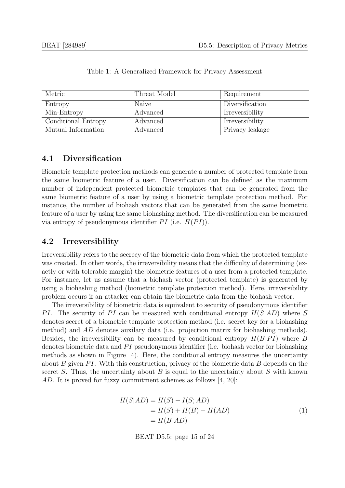| Metric              | Threat Model | Requirement     |
|---------------------|--------------|-----------------|
| Entropy             | Naive        | Diversification |
| Min-Entropy         | Advanced     | Irreversibility |
| Conditional Entropy | Advanced     | Irreversibility |
| Mutual Information  | Advanced     | Privacy leakage |

|  |  |  |  | Table 1: A Generalized Framework for Privacy Assessment |
|--|--|--|--|---------------------------------------------------------|
|--|--|--|--|---------------------------------------------------------|

#### 4.1 Diversification

Biometric template protection methods can generate a number of protected template from the same biometric feature of a user. Diversification can be defined as the maximum number of independent protected biometric templates that can be generated from the same biometric feature of a user by using a biometric template protection method. For instance, the number of biohash vectors that can be generated from the same biometric feature of a user by using the same biohashing method. The diversification can be measured via entropy of pseudonymous identifier  $PI$  (i.e.  $H(PI)$ ).

#### 4.2 Irreversibility

Irreversibility refers to the secrecy of the biometric data from which the protected template was created. In other words, the irreversibility means that the difficulty of determining (exactly or with tolerable margin) the biometric features of a user from a protected template. For instance, let us assume that a biohash vector (protected template) is generated by using a biohashing method (biometric template protection method). Here, irreversibility problem occurs if an attacker can obtain the biometric data from the biohash vector.

The irreversibility of biometric data is equivalent to security of pseudonymous identifier PI. The security of PI can be measured with conditional entropy  $H(S|AD)$  where S denotes secret of a biometric template protection method (i.e. secret key for a biohashing method) and AD denotes auxilary data (i.e. projection matrix for biohashing methods). Besides, the irreversibility can be measured by conditional entropy  $H(B|PI)$  where B denotes biometric data and  $PI$  pseudonymous identifier (i.e. biohash vector for biohashing methods as shown in Figure 4). Here, the conditional entropy measures the uncertainty about B given PI. With this construction, privacy of the biometric data B depends on the secret S. Thus, the uncertainty about B is equal to the uncertainty about S with known AD. It is proved for fuzzy commitment schemes as follows [4, 20]:

$$
H(S|AD) = H(S) - I(S; AD)
$$
  
= 
$$
H(S) + H(B) - H(AD)
$$
  
= 
$$
H(B|AD)
$$
 (1)

BEAT D5.5: page 15 of 24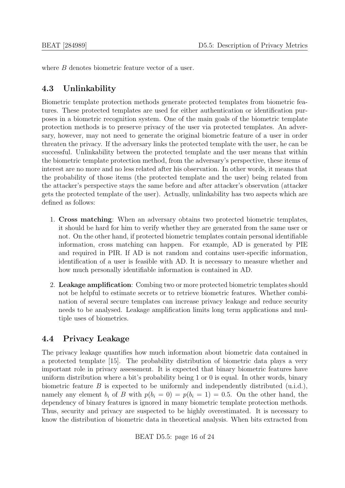where B denotes biometric feature vector of a user.

#### 4.3 Unlinkability

Biometric template protection methods generate protected templates from biometric features. These protected templates are used for either authentication or identification purposes in a biometric recognition system. One of the main goals of the biometric template protection methods is to preserve privacy of the user via protected templates. An adversary, however, may not need to generate the original biometric feature of a user in order threaten the privacy. If the adversary links the protected template with the user, he can be successful. Unlinkability between the protected template and the user means that within the biometric template protection method, from the adversary's perspective, these items of interest are no more and no less related after his observation. In other words, it means that the probability of those items (the protected template and the user) being related from the attacker's perspective stays the same before and after attacker's observation (attacker gets the protected template of the user). Actually, unlinkability has two aspects which are defined as follows:

- 1. Cross matching: When an adversary obtains two protected biometric templates, it should be hard for him to verify whether they are generated from the same user or not. On the other hand, if protected biometric templates contain personal identifiable information, cross matching can happen. For example, AD is generated by PIE and required in PIR. If AD is not random and contains user-specific information, identification of a user is feasible with AD. It is necessary to measure whether and how much personally identifiable information is contained in AD.
- 2. Leakage amplification: Combing two or more protected biometric templates should not be helpful to estimate secrets or to retrieve biometric features. Whether combination of several secure templates can increase privacy leakage and reduce security needs to be analysed. Leakage amplification limits long term applications and multiple uses of biometrics.

## 4.4 Privacy Leakage

The privacy leakage quantifies how much information about biometric data contained in a protected template [15]. The probability distribution of biometric data plays a very important role in privacy assessment. It is expected that binary biometric features have uniform distribution where a bit's probability being 1 or 0 is equal. In other words, binary biometric feature  $B$  is expected to be uniformly and independently distributed (u.i.d.), namely any element  $b_i$  of B with  $p(b_i = 0) = p(b_i = 1) = 0.5$ . On the other hand, the dependency of binary features is ignored in many biometric template protection methods. Thus, security and privacy are suspected to be highly overestimated. It is necessary to know the distribution of biometric data in theoretical analysis. When bits extracted from

BEAT D5.5: page 16 of 24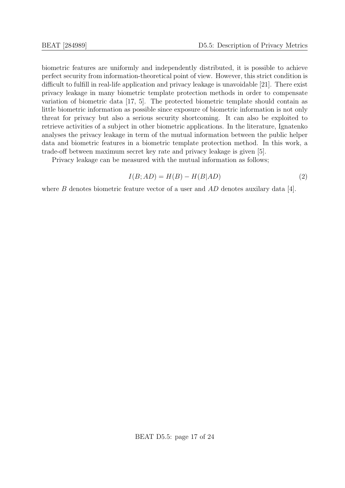biometric features are uniformly and independently distributed, it is possible to achieve perfect security from information-theoretical point of view. However, this strict condition is difficult to fulfill in real-life application and privacy leakage is unavoidable [21]. There exist privacy leakage in many biometric template protection methods in order to compensate variation of biometric data [17, 5]. The protected biometric template should contain as little biometric information as possible since exposure of biometric information is not only threat for privacy but also a serious security shortcoming. It can also be exploited to retrieve activities of a subject in other biometric applications. In the literature, Ignatenko analyses the privacy leakage in term of the mutual information between the public helper data and biometric features in a biometric template protection method. In this work, a trade-off between maximum secret key rate and privacy leakage is given [5].

Privacy leakage can be measured with the mutual information as follows;

$$
I(B; AD) = H(B) - H(B|AD)
$$
\n<sup>(2)</sup>

where  $B$  denotes biometric feature vector of a user and  $AD$  denotes auxilary data [4].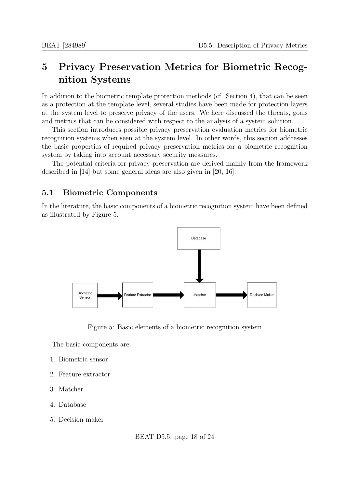# 5 Privacy Preservation Metrics for Biometric Recognition Systems

In addition to the biometric template protection methods (cf. Section 4), that can be seen as a protection at the template level, several studies have been made for protection layers at the system level to preserve privacy of the users. We here discussed the threats, goals and metrics that can be considered with respect to the analysis of a system solution.

This section introduces possible privacy preservation evaluation metrics for biometric recognition systems when seen at the system level. In other words, this section addresses the basic properties of required privacy preservation metrics for a biometric recognition system by taking into account necessary security measures.

The potential criteria for privacy preservation are derived mainly from the framework described in [14] but some general ideas are also given in [20, 16].

#### 5.1 Biometric Components

In the literature, the basic components of a biometric recognition system have been defined as illustrated by Figure 5.



Figure 5: Basic elements of a biometric recognition system

The basic components are:

- 1. Biometric sensor
- 2. Feature extractor
- 3. Matcher
- 4. Database
- 5. Decision maker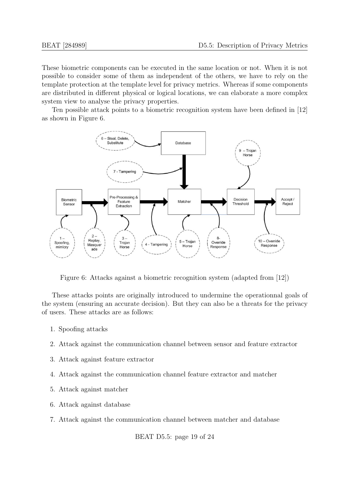These biometric components can be executed in the same location or not. When it is not possible to consider some of them as independent of the others, we have to rely on the template protection at the template level for privacy metrics. Whereas if some components are distributed in different physical or logical locations, we can elaborate a more complex system view to analyse the privacy properties.

Ten possible attack points to a biometric recognition system have been defined in [12] as shown in Figure 6.



Figure 6: Attacks against a biometric recognition system (adapted from [12])

These attacks points are originally introduced to undermine the operationnal goals of the system (ensuring an accurate decision). But they can also be a threats for the privacy of users. These attacks are as follows:

- 1. Spoofing attacks
- 2. Attack against the communication channel between sensor and feature extractor
- 3. Attack against feature extractor
- 4. Attack against the communication channel feature extractor and matcher
- 5. Attack against matcher
- 6. Attack against database
- 7. Attack against the communication channel between matcher and database

BEAT D5.5: page 19 of 24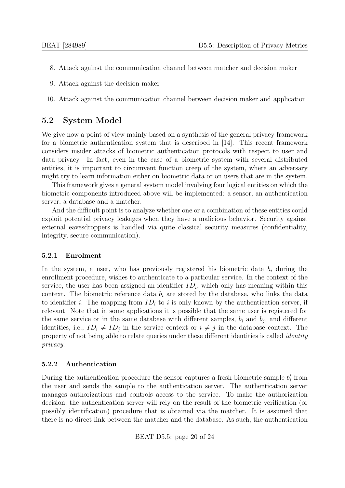- 8. Attack against the communication channel between matcher and decision maker
- 9. Attack against the decision maker
- 10. Attack against the communication channel between decision maker and application

#### 5.2 System Model

We give now a point of view mainly based on a synthesis of the general privacy framework for a biometric authentication system that is described in [14]. This recent framework considers insider attacks of biometric authentication protocols with respect to user and data privacy. In fact, even in the case of a biometric system with several distributed entities, it is important to circumvent function creep of the system, where an adversary might try to learn information either on biometric data or on users that are in the system.

This framework gives a general system model involving four logical entities on which the biometric components introduced above will be implemented: a sensor, an authentication server, a database and a matcher.

And the difficult point is to analyze whether one or a combination of these entities could exploit potential privacy leakages when they have a malicious behavior. Security against external eavesdroppers is handled via quite classical security measures (confidentiality, integrity, secure communication).

#### 5.2.1 Enrolment

In the system, a user, who has previously registered his biometric data  $b_i$  during the enrollment procedure, wishes to authenticate to a particular service. In the context of the service, the user has been assigned an identifier  $ID_i$ , which only has meaning within this context. The biometric reference data  $b_i$  are stored by the database, who links the data to identifier i. The mapping from  $ID_i$  to i is only known by the authentication server, if relevant. Note that in some applications it is possible that the same user is registered for the same service or in the same database with different samples,  $b_i$  and  $b_j$ , and different identities, i.e.,  $ID_i \neq ID_j$  in the service context or  $i \neq j$  in the database context. The property of not being able to relate queries under these different identities is called *identity* privacy.

#### 5.2.2 Authentication

During the authentication procedure the sensor captures a fresh biometric sample  $b_i$  from the user and sends the sample to the authentication server. The authentication server manages authorizations and controls access to the service. To make the authorization decision, the authentication server will rely on the result of the biometric verification (or possibly identification) procedure that is obtained via the matcher. It is assumed that there is no direct link between the matcher and the database. As such, the authentication

BEAT D5.5: page 20 of 24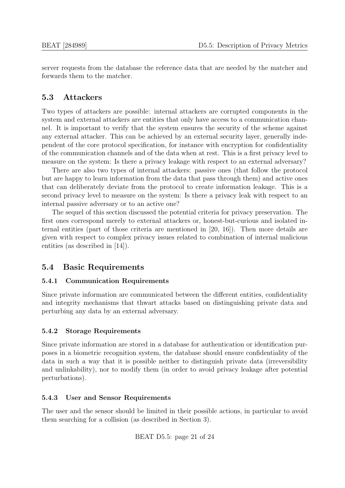server requests from the database the reference data that are needed by the matcher and forwards them to the matcher.

## 5.3 Attackers

Two types of attackers are possible: internal attackers are corrupted components in the system and external attackers are entities that only have access to a communication channel. It is important to verify that the system ensures the security of the scheme against any external attacker. This can be achieved by an external security layer, generally independent of the core protocol specification, for instance with encryption for confidentiality of the communication channels and of the data when at rest. This is a first privacy level to measure on the system: Is there a privacy leakage with respect to an external adversary?

There are also two types of internal attackers: passive ones (that follow the protocol but are happy to learn information from the data that pass through them) and active ones that can deliberately deviate from the protocol to create information leakage. This is a second privacy level to measure on the system: Is there a privacy leak with respect to an internal passive adversary or to an active one?

The sequel of this section discussed the potential criteria for privacy preservation. The first ones correspond merely to external attackers or, honest-but-curious and isolated internal entities (part of those criteria are mentioned in [20, 16]). Then more details are given with respect to complex privacy issues related to combination of internal malicious entities (as described in [14]).

## 5.4 Basic Requirements

#### 5.4.1 Communication Requirements

Since private information are communicated between the different entities, confidentiality and integrity mechanisms that thwart attacks based on distinguishing private data and perturbing any data by an external adversary.

#### 5.4.2 Storage Requirements

Since private information are stored in a database for authentication or identification purposes in a biometric recognition system, the database should ensure confidentiality of the data in such a way that it is possible neither to distinguish private data (irreversibility and unlinkability), nor to modify them (in order to avoid privacy leakage after potential perturbations).

#### 5.4.3 User and Sensor Requirements

The user and the sensor should be limited in their possible actions, in particular to avoid them searching for a collision (as described in Section 3).

BEAT D5.5: page 21 of 24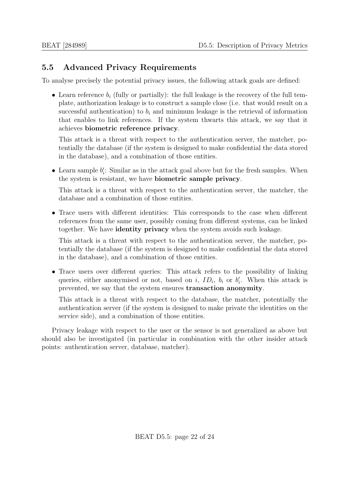## 5.5 Advanced Privacy Requirements

To analyse precisely the potential privacy issues, the following attack goals are defined:

• Learn reference  $b_i$  (fully or partially): the full leakage is the recovery of the full template, authorization leakage is to construct a sample close (i.e. that would result on a successful authentication) to  $b_i$  and minimum leakage is the retrieval of information that enables to link references. If the system thwarts this attack, we say that it achieves biometric reference privacy.

This attack is a threat with respect to the authentication server, the matcher, potentially the database (if the system is designed to make confidential the data stored in the database), and a combination of those entities.

• Learn sample  $b_i$ : Similar as in the attack goal above but for the fresh samples. When the system is resistant, we have biometric sample privacy.

This attack is a threat with respect to the authentication server, the matcher, the database and a combination of those entities.

• Trace users with different identities: This corresponds to the case when different references from the same user, possibly coming from different systems, can be linked together. We have identity privacy when the system avoids such leakage.

This attack is a threat with respect to the authentication server, the matcher, potentially the database (if the system is designed to make confidential the data stored in the database), and a combination of those entities.

• Trace users over different queries: This attack refers to the possibility of linking queries, either anonymised or not, based on i,  $ID_i$ ,  $b_i$  or  $b'_i$ . When this attack is prevented, we say that the system ensures transaction anonymity.

This attack is a threat with respect to the database, the matcher, potentially the authentication server (if the system is designed to make private the identities on the service side), and a combination of those entities.

Privacy leakage with respect to the user or the sensor is not generalized as above but should also be investigated (in particular in combination with the other insider attack points: authentication server, database, matcher).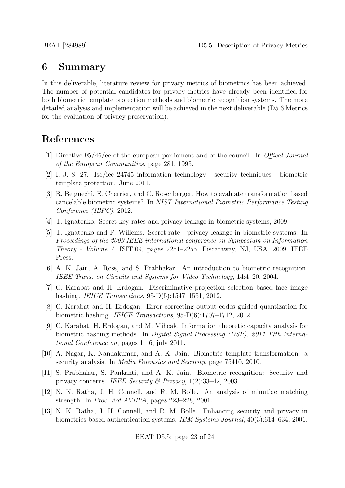## 6 Summary

In this deliverable, literature review for privacy metrics of biometrics has been achieved. The number of potential candidates for privacy metrics have already been identified for both biometric template protection methods and biometric recognition systems. The more detailed analysis and implementation will be achieved in the next deliverable (D5.6 Metrics for the evaluation of privacy preservation).

# References

- [1] Directive 95/46/ec of the european parliament and of the council. In Offical Journal of the European Communities, page 281, 1995.
- [2] I. J. S. 27. Iso/iec 24745 information technology security techniques biometric template protection. June 2011.
- [3] R. Belguechi, E. Cherrier, and C. Rosenberger. How to evaluate transformation based cancelable biometric systems? In NIST International Biometric Performance Testing Conference (IBPC), 2012.
- [4] T. Ignatenko. Secret-key rates and privacy leakage in biometric systems, 2009.
- [5] T. Ignatenko and F. Willems. Secret rate privacy leakage in biometric systems. In Proceedings of the 2009 IEEE international conference on Symposium on Information Theory - Volume 4, ISIT'09, pages 2251–2255, Piscataway, NJ, USA, 2009. IEEE Press.
- [6] A. K. Jain, A. Ross, and S. Prabhakar. An introduction to biometric recognition. IEEE Trans. on Circuits and Systems for Video Technology, 14:4–20, 2004.
- [7] C. Karabat and H. Erdogan. Discriminative projection selection based face image hashing. *IEICE Transactions*, 95-D(5):1547-1551, 2012.
- [8] C. Karabat and H. Erdogan. Error-correcting output codes guided quantization for biometric hashing. IEICE Transactions, 95-D(6):1707–1712, 2012.
- [9] C. Karabat, H. Erdogan, and M. Mihcak. Information theoretic capacity analysis for biometric hashing methods. In Digital Signal Processing (DSP), 2011 17th International Conference on, pages 1 –6, july 2011.
- [10] A. Nagar, K. Nandakumar, and A. K. Jain. Biometric template transformation: a security analysis. In Media Forensics and Security, page 75410, 2010.
- [11] S. Prabhakar, S. Pankanti, and A. K. Jain. Biometric recognition: Security and privacy concerns. IEEE Security  $\mathcal B$  Privacy, 1(2):33-42, 2003.
- [12] N. K. Ratha, J. H. Connell, and R. M. Bolle. An analysis of minutiae matching strength. In Proc. 3rd AVBPA, pages 223–228, 2001.
- [13] N. K. Ratha, J. H. Connell, and R. M. Bolle. Enhancing security and privacy in biometrics-based authentication systems. IBM Systems Journal, 40(3):614–634, 2001.

BEAT D5.5: page 23 of 24